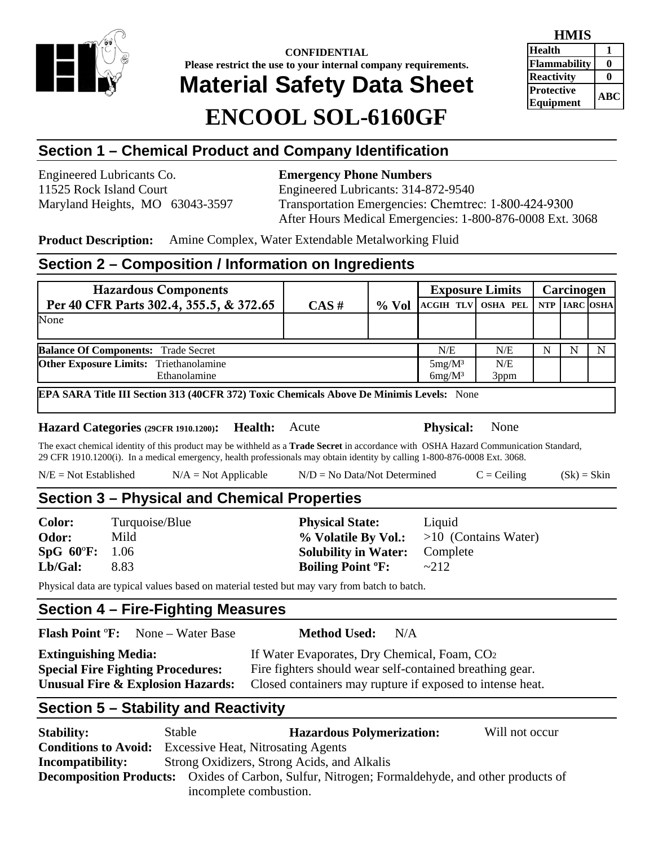

**CONFIDENTIAL Please restrict the use to your internal company requirements. Material Safety Data Sheet ENCOOL SOL-6160GF**

| LLIVILID                              |     |
|---------------------------------------|-----|
| <b>Health</b>                         |     |
| <b>Flammability</b>                   |     |
| <b>Reactivity</b>                     |     |
| <b>Protective</b><br><b>Equipment</b> | ABC |
|                                       |     |

**HMIS** 

# **Section 1 – Chemical Product and Company Identification**

Engineered Lubricants Co. **Emergency Phone Numbers** 

11525 Rock Island Court Engineered Lubricants: 314-872-9540 Maryland Heights, MO 63043-3597 Transportation Emergencies: Chemtrec: 1-800-424-9300 After Hours Medical Emergencies: 1-800-876-0008 Ext. 3068

**Product Description:** Amine Complex, Water Extendable Metalworking Fluid

## **Section 2 – Composition / Information on Ingredients**

| <b>Hazardous Components</b>                   |          |          | <b>Exposure Limits</b>    |      | Carcinogen |               |  |
|-----------------------------------------------|----------|----------|---------------------------|------|------------|---------------|--|
| Per 40 CFR Parts 302.4, 355.5, & 372.65       | $CAS \#$ | $\%$ Vol | <b>ACGIH TLV OSHA PEL</b> |      |            | NTP IARC OSHA |  |
| None                                          |          |          |                           |      |            |               |  |
|                                               |          |          |                           |      |            |               |  |
| <b>Balance Of Components: Trade Secret</b>    |          | N/E      | N/E                       | N    | N          | N             |  |
| <b>Other Exposure Limits:</b> Triethanolamine |          |          | $5mg/M^3$                 | N/E  |            |               |  |
| Ethanolamine                                  |          |          | $6mg/M^3$                 | 3ppm |            |               |  |

**EPA SARA Title III Section 313 (40CFR 372) Toxic Chemicals Above De Minimis Levels:** None

**Hazard Categories (29CFR 1910.1200): Health:** Acute **Physical:** None

The exact chemical identity of this product may be withheld as a **Trade Secret** in accordance with OSHA Hazard Communication Standard, 29 CFR 1910.1200(i). In a medical emergency, health professionals may obtain identity by calling 1-800-876-0008 Ext. 3068.

 $N/E = Not Established$   $N/A = Not Applied$   $N/D = No Data/Not Determined$   $C = Ceiling$   $(Sk) = Skin$ 

# **Section 3 – Physical and Chemical Properties**

**Odor:** Mild **1992 Mild 1993** Mild **9% Volatile By Vol.:**  $>10$  (Contains Water) **SpG 60**º**F:** 1.06 **Solubility in Water:** Complete **Lb/Gal:** 8.83 **Boiling Point ºF:** ~212

**Color:** Turquoise/Blue **Physical State:** Liquid

Physical data are typical values based on material tested but may vary from batch to batch.

# **Section 4 – Fire-Fighting Measures**

| <b>Flash Point °F:</b> None – Water Base     | <b>Method Used:</b><br>N/A                                |
|----------------------------------------------|-----------------------------------------------------------|
| <b>Extinguishing Media:</b>                  | If Water Evaporates, Dry Chemical, Foam, CO <sub>2</sub>  |
| <b>Special Fire Fighting Procedures:</b>     | Fire fighters should wear self-contained breathing gear.  |
| <b>Unusual Fire &amp; Explosion Hazards:</b> | Closed containers may rupture if exposed to intense heat. |
|                                              |                                                           |

## **Section 5 – Stability and Reactivity**

| <b>Stability:</b>                                                                                      | Stable                                      | <b>Hazardous Polymerization:</b> | Will not occur |
|--------------------------------------------------------------------------------------------------------|---------------------------------------------|----------------------------------|----------------|
| <b>Conditions to Avoid:</b>                                                                            | <b>Excessive Heat, Nitrosating Agents</b>   |                                  |                |
| <b>Incompatibility:</b>                                                                                | Strong Oxidizers, Strong Acids, and Alkalis |                                  |                |
| <b>Decomposition Products:</b> Oxides of Carbon, Sulfur, Nitrogen; Formaldehyde, and other products of |                                             |                                  |                |
|                                                                                                        | incomplete combustion.                      |                                  |                |